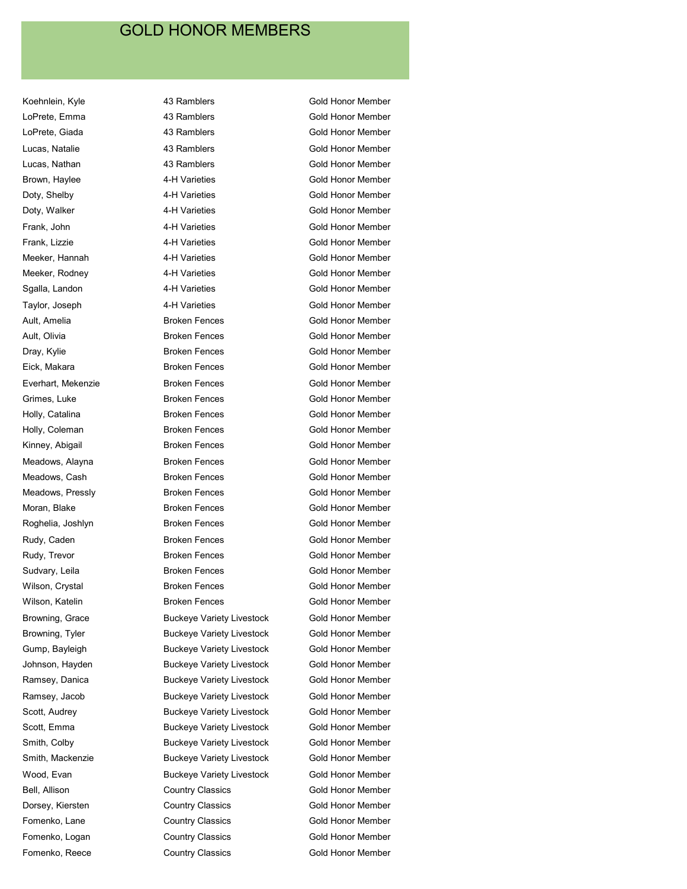Fomenko, Reece **Country Classics** Gold Honor Member

Koehnlein, Kyle **43 Ramblers** 43 Ramblers **Gold Honor Member** LoPrete, Emma **43 Ramblers** Gold Honor Member LoPrete, Giada **43 Ramblers** Gold Honor Member Lucas, Natalie **1988 Exercise 13 Additional A**3 Ramblers **Constant Constant Gold Honor Member** Lucas, Nathan **19 Constructs** 43 Ramblers **Constructs** Gold Honor Member Brown, Haylee 4-H Varieties Gold Honor Member Doty, Shelby **1-H Varieties** Gold Honor Member Doty, Walker **4-H Varieties** Gold Honor Member Frank, John **1988 1988 4-H Varieties** The Gold Honor Member Frank, Lizzie 4-H Varieties Gold Honor Member Meeker, Hannah **6 Access 14-H Varieties** Gold Honor Member Meeker, Rodney **6 Access 14-H Varieties Gold Honor Member** Gold Honor Member Sgalla, Landon **1988** 4-H Varieties **Access 1988** Gold Honor Member Taylor, Joseph **1-H Varieties** Gold Honor Member Ault, Amelia Broken Fences Gold Honor Member Ault, Olivia **Broken Fences** Gold Honor Member Dray, Kylie **Broken Fences** Gold Honor Member Eick, Makara Broken Fences Gold Honor Member Everhart, Mekenzie Broken Fences Gold Honor Member Grimes, Luke **Broken Fences** Gold Honor Member Holly, Catalina **Broken Fences** Gold Honor Member Holly, Coleman **Broken Fences** Gold Honor Member Kinney, Abigail **Broken Fences** Gold Honor Member Meadows, Alayna **Broken Fences** Gold Honor Member Meadows, Cash **Broken Fences** Gold Honor Member Meadows, Pressly **Broken Fences** Gold Honor Member Moran, Blake **Broken Fences** Gold Honor Member Roghelia, Joshlyn **Broken Fences** Gold Honor Member Rudy, Caden **Broken Fences** Gold Honor Member Rudy, Trevor **Broken Fences** Gold Honor Member Sudvary, Leila **Broken Fences** Gold Honor Member Wilson, Crystal **Broken Fences** Gold Honor Member Wilson, Katelin **Broken Fences** Gold Honor Member Browning, Grace Buckeye Variety Livestock Gold Honor Member Browning, Tyler Buckeye Variety Livestock Gold Honor Member Gump, Bayleigh **Buckeye Variety Livestock** Gold Honor Member Johnson, Hayden Buckeye Variety Livestock Gold Honor Member Ramsey, Danica **Buckeye Variety Livestock** Gold Honor Member Ramsey, Jacob Buckeye Variety Livestock Gold Honor Member Scott, Audrey **Buckeye Variety Livestock** Gold Honor Member Scott, Emma **Buckeye Variety Livestock** Gold Honor Member Smith, Colby **Buckeye Variety Livestock** Gold Honor Member Smith, Mackenzie Buckeye Variety Livestock Gold Honor Member Wood, Evan **Buckeye Variety Livestock** Gold Honor Member Bell, Allison **Country Classics** Country Classics **Country Classics** Gold Honor Member Dorsey, Kiersten Country Classics Gold Honor Member Fomenko, Lane Country Classics Gold Honor Member Fomenko, Logan **Country Classics** Gold Honor Member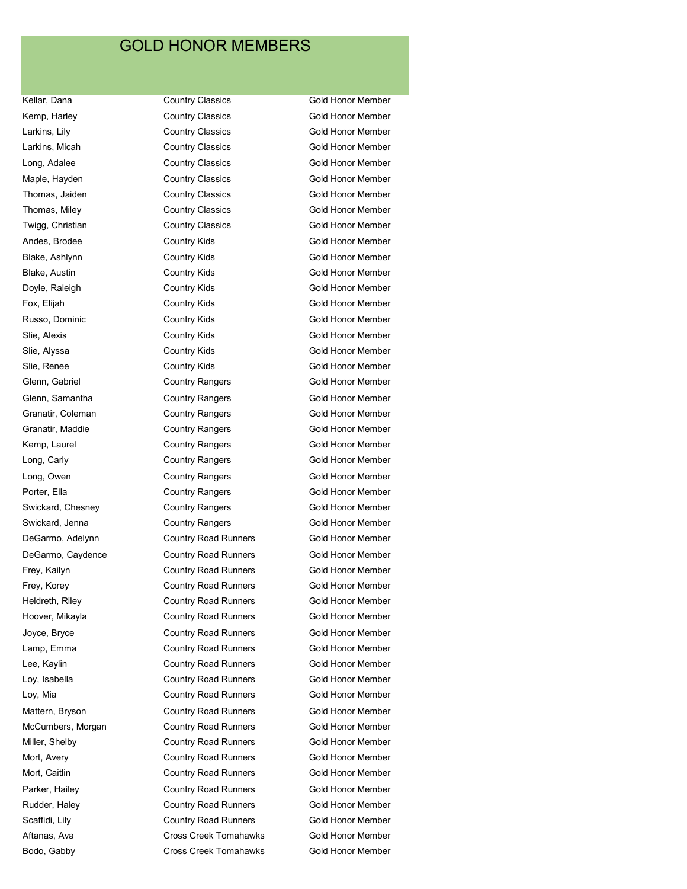Kellar, Dana **Country Classics** Gold Honor Member Kemp, Harley **Country Classics** Gold Honor Member Larkins, Lily Country Classics Gold Honor Member Larkins, Micah **Country Classics** Country Classics Country Classics Cold Honor Member Long, Adalee Country Classics Gold Honor Member Maple, Hayden **Country Classics** Country Classics Country Classics Cold Honor Member Thomas, Jaiden **Country Classics** Gold Honor Member Thomas, Miley **Country Classics** Gold Honor Member Twigg, Christian **Country Classics** Country Classics Gold Honor Member Andes, Brodee **Country Kids** Country Kids **Gold Honor Member** Blake, Ashlynn **Country Kids** Gold Honor Member Blake, Austin **Country Kids** Gold Honor Member Doyle, Raleigh Country Kids Gold Honor Member Fox, Elijah Country Kids Gold Honor Member Russo, Dominic **Country Kids** Gold Honor Member Slie, Alexis **Country Kids** Gold Honor Member Slie, Alyssa **Country Kids** Gold Honor Member Slie, Renee **Country Kids** Gold Honor Member Glenn, Gabriel **Country Rangers** Gold Honor Member Glenn, Samantha Country Rangers Gold Honor Member Granatir, Coleman **Country Rangers** Country Rangers Gold Honor Member Granatir, Maddie **Country Rangers** Gold Honor Member Kemp, Laurel **Country Rangers** Country Rangers Country Rangers Cold Honor Member Long, Carly **Country Rangers** Country Rangers **Country Rangers** Gold Honor Member Long, Owen **Country Rangers** Gold Honor Member Porter, Ella **Country Rangers** Gold Honor Member Swickard, Chesney **Country Rangers** Country Rangers Gold Honor Member Swickard, Jenna **Country Rangers** Country Rangers **Gold Honor Member** DeGarmo, Adelynn Country Road Runners Gold Honor Member DeGarmo, Caydence **Country Road Runners** Gold Honor Member Frey, Kailyn **Country Road Runners** Gold Honor Member Frey, Korey **Country Road Runners** Gold Honor Member Heldreth, Riley **Country Road Runners** Gold Honor Member Hoover, Mikayla Country Road Runners Gold Honor Member Joyce, Bryce **COUNTY Road Runners** Gold Honor Member Lamp, Emma **Country Road Runners** Gold Honor Member Lee, Kaylin **Country Road Runners** Gold Honor Member Loy, Isabella **Country Road Runners** Gold Honor Member Loy, Mia **Country Road Runners** Gold Honor Member Mattern, Bryson **Country Road Runners** Gold Honor Member McCumbers, Morgan Country Road Runners Gold Honor Member Miller, Shelby Country Road Runners Gold Honor Member Mort, Avery **Country Road Runners** Gold Honor Member Mort, Caitlin **Mort, Caitlin** Country Road Runners **Gold Honor Member** Parker, Hailey **Country Road Runners** Gold Honor Member Rudder, Haley **Country Road Runners** Gold Honor Member Scaffidi, Lily **Country Road Runners** Gold Honor Member Aftanas, Ava **CROS** Creek Tomahawks Gold Honor Member

Bodo, Gabby **Cross Creek Tomahawks** Gold Honor Member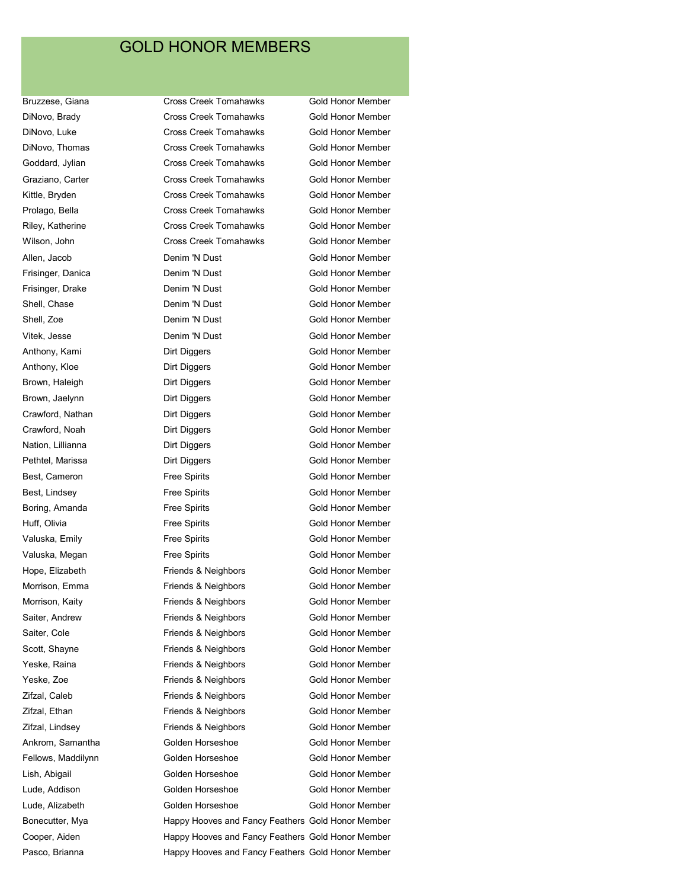Bruzzese, Giana **Cross Creek Tomahawks** Gold Honor Member DiNovo, Brady **Cross Creek Tomahawks** Gold Honor Member DiNovo, Luke Cross Creek Tomahawks Gold Honor Member DiNovo, Thomas **Cross Creek Tomahawks** Gold Honor Member Goddard, Jylian Cross Creek Tomahawks Gold Honor Member Graziano, Carter **Cross Creek Tomahawks** Gold Honor Member Kittle, Bryden **Cross Creek Tomahawks** Gold Honor Member Prolago, Bella Cross Creek Tomahawks Gold Honor Member Riley, Katherine **Cross Creek Tomahawks** Gold Honor Member Wilson, John **Cross Creek Tomahawks** Gold Honor Member Allen, Jacob **Denim 'N Dust** Gold Honor Member Frisinger, Danica **Denim 'N Dust** Gold Honor Member Frisinger, Drake **Denim 'N Dust** Cold Honor Member Shell, Chase **Denim 'N Dust** Gold Honor Member Shell, Zoe **Denim 'N Dust** Gold Honor Member Vitek, Jesse **Denim 'N Dust Gold Honor Member** Gold Honor Member Anthony, Kami **Dirt Diggers** Cold Honor Member Anthony, Kloe **Dirt Diggers** Gold Honor Member Brown, Haleigh **Dirt Diggers** Cold Honor Member Brown, Jaelynn **Dirt Diggers Dirt Diggers** Gold Honor Member Crawford, Nathan Dirt Diggers Gold Honor Member Crawford, Noah **Dirt Diggers** Gold Honor Member Nation, Lillianna **Nation, Lillianna** Dirt Diggers **Cold Honor Member** Pethtel, Marissa **Dirt Diggers** Dirt Diggers Gold Honor Member Best, Cameron **Free Spirits** Free Spirits Gold Honor Member Best, Lindsey **Free Spirits** Gold Honor Member Boring, Amanda **Free Spirits** Gold Honor Member Huff, Olivia **Free Spirits** Free Spirits Gold Honor Member Valuska, Emily **Free Spirits** Free Spirits Gold Honor Member Valuska, Megan **Free Spirits** Free Spirits Gold Honor Member Hope, Elizabeth **Friends & Neighbors** Gold Honor Member Morrison, Emma **Friends & Neighbors** Gold Honor Member Morrison, Kaity **Friends & Neighbors** Gold Honor Member Saiter, Andrew **Friends & Neighbors** Gold Honor Member Saiter, Cole **Friends & Neighbors** Gold Honor Member Scott, Shayne **Friends & Neighbors** Gold Honor Member Yeske, Raina **Friends & Neighbors** Gold Honor Member Yeske, Zoe **Friends & Neighbors** Gold Honor Member Zifzal, Caleb **Friends & Neighbors** Gold Honor Member Zifzal, Ethan Friends & Neighbors Gold Honor Member Zifzal, Lindsey **Friends & Neighbors** Gold Honor Member Ankrom, Samantha **Golden Horseshoe** Gold Honor Member Fellows, Maddilynn Golden Horseshoe Gold Honor Member Lish, Abigail Golden Horseshoe Gold Honor Member Lude, Addison Golden Horseshoe Gold Honor Member Lude, Alizabeth Golden Horseshoe Gold Honor Member Bonecutter, Mya Happy Hooves and Fancy Feathers Gold Honor Member

Cooper, Aiden Happy Hooves and Fancy Feathers Gold Honor Member Pasco, Brianna **Happy Hooves and Fancy Feathers Gold Honor Member**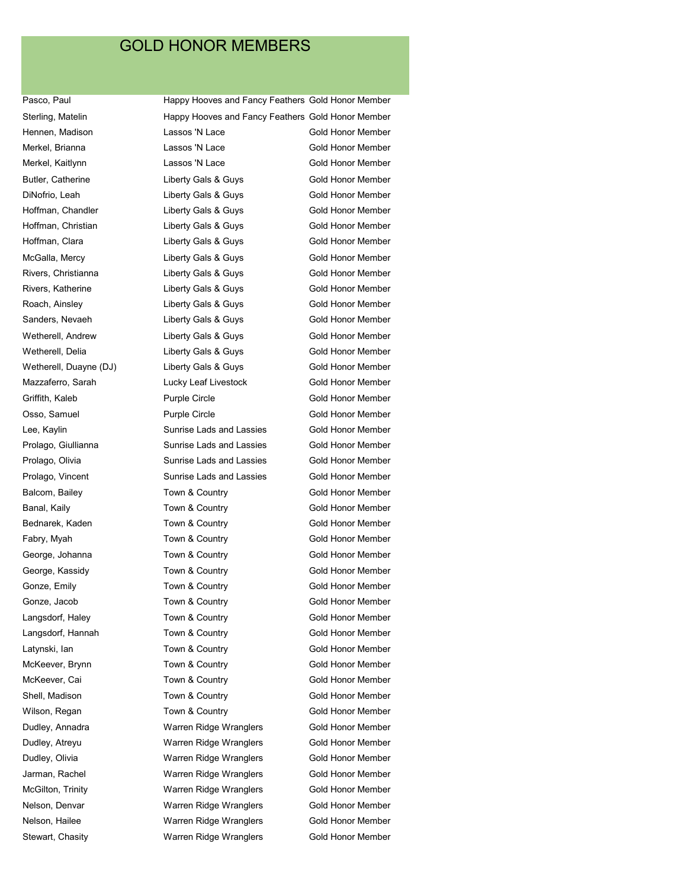Pasco, Paul **Happy Hooves and Fancy Feathers Gold Honor Member** Sterling, Matelin Happy Hooves and Fancy Feathers Gold Honor Member Hennen, Madison **Lassos 'N Lace** Gold Honor Member Merkel, Brianna Lassos 'N Lace Gold Honor Member Merkel, Kaitlynn **Metalace Contains Containers** Lassos 'N Lace Cold Honor Member Butler, Catherine **Liberty Gals & Guys** Gold Honor Member DiNofrio, Leah **Liberty Gals & Guys** Gold Honor Member Hoffman, Chandler **Liberty Gals & Guys** Gold Honor Member Hoffman, Christian **Liberty Gals & Guys** Gold Honor Member Hoffman, Clara **Callactic Clara Clare Liberty Gals & Guys** Gold Honor Member McGalla, Mercy Liberty Gals & Guys Gold Honor Member Rivers, Christianna **Liberty Gals & Guys** Gold Honor Member Rivers, Katherine **Rivers, Katherine** Liberty Gals & Guys **Gold Honor Member** Roach, Ainsley **Roach, Ainsley Collect Ainsley** Liberty Gals & Guys Gold Honor Member Sanders, Nevaeh **Liberty Gals & Guys** Gold Honor Member Wetherell, Andrew **Liberty Gals & Guys** Gold Honor Member Wetherell, Delia **Liberty Gals & Guys** Gold Honor Member Wetherell, Duayne (DJ) Liberty Gals & Guys Gold Honor Member Mazzaferro, Sarah Lucky Leaf Livestock Gold Honor Member Griffith, Kaleb **Purple Circle** Gold Honor Member Osso, Samuel **Purple Circle** Gold Honor Member Lee, Kaylin **Sunrise Lads and Lassies** Gold Honor Member Prolago, Giullianna **Sunrise Lads and Lassies** Gold Honor Member Prolago, Olivia Sunrise Lads and Lassies Gold Honor Member Prolago, Vincent **Sunrise Lads and Lassies** Gold Honor Member Balcom, Bailey Town & Country Gold Honor Member Banal, Kaily **Sanal, Kaily Commental Town & Country** Gold Honor Member Bednarek, Kaden Town & Country Gold Honor Member Fabry, Myah Town & Country Gold Honor Member George, Johanna **Town & Country Controlled Honor Member** Gold Honor Member George, Kassidy **Town & Country Connect Connect Connect Connect Act October** Gold Honor Member Gonze, Emily **Town & Country Controlled Honor Member** Gold Honor Member Gonze, Jacob Town & Country Gold Honor Member Langsdorf, Haley **Town & Country** Cold Honor Member Langsdorf, Hannah Town & Country Gold Honor Member Latynski, Ian **Town & Country Connect Action** Gold Honor Member McKeever, Brynn Town & Country Gold Honor Member McKeever, Cai Town & Country Gold Honor Member Shell, Madison Town & Country Gold Honor Member Wilson, Regan Town & Country Gold Honor Member Dudley, Annadra **Marren Ridge Wranglers** Gold Honor Member Dudley, Atreyu Warren Ridge Wranglers Gold Honor Member Dudley, Olivia **Marren Ridge Wranglers** Gold Honor Member Jarman, Rachel Warren Ridge Wranglers Gold Honor Member McGilton, Trinity **Makillah Warren Ridge Wranglers** Gold Honor Member Nelson, Denvar Warren Ridge Wranglers Gold Honor Member Nelson, Hailee Warren Ridge Wranglers Gold Honor Member Stewart, Chasity **Stewart, Chasity** Warren Ridge Wranglers Gold Honor Member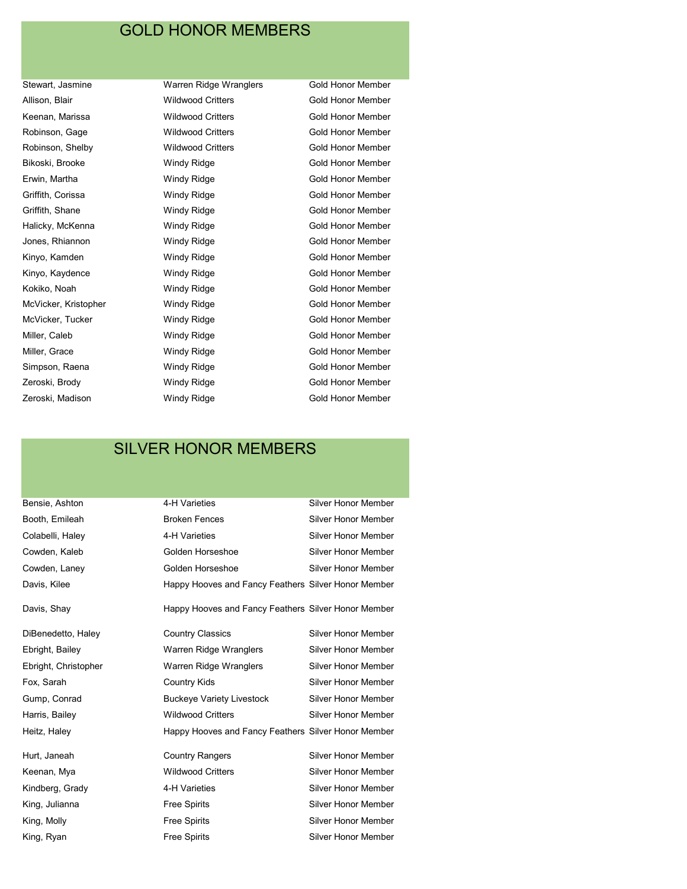Bikoski, Brooke **Mindy Ridge** Gold Honor Member Erwin, Martha **Michartha Michartha Music Windy Ridge Cold Honor Member** Halicky, McKenna **Mindy Ridge** Gold Honor Member Kinyo, Kaydence **Mindy Ridge** Gold Honor Member Miller, Caleb **Miller, Caleb** Windy Ridge **Gold Honor Member** 

Stewart, Jasmine **Warren Ridge Wranglers** Gold Honor Member Allison, Blair **Matters** Wildwood Critters **Gold Honor Member** Gold Honor Member Keenan, Marissa **Mildwood Critters** Gold Honor Member Robinson, Gage **Wildwood Critters** Gold Honor Member Robinson, Shelby **Wildwood Critters** Gold Honor Member Griffith, Corissa **Contact Million** Windy Ridge **Gold Honor Member** Gold Honor Member Griffith, Shane **Million Cold Honor Member** Windy Ridge **Gold Honor Member** Jones, Rhiannon **Mindy Ridge** Gold Honor Member Kinyo, Kamden **Mindy Ridge** Gold Honor Member Kokiko, Noah **Windy Ridge** Gold Honor Member McVicker, Kristopher **Mindy Ridge** Mindy Ridge Gold Honor Member McVicker, Tucker **MicRicker Windy Ridge** McVicker, Gold Honor Member Miller, Grace **Miller, Grace** Windy Ridge **Gold Honor Member** Simpson, Raena **Mindy Ridge** Gold Honor Member Zeroski, Brody **Million Collam Access Access** Windy Ridge **Collam Collam Member** Gold Honor Member Zeroski, Madison **Milion Member** Windy Ridge **Mateurs Cold Honor Member** 

# SILVER HONOR MEMBERS

| Bensie, Ashton       | 4-H Varieties                                       | <b>Silver Honor Member</b> |  |
|----------------------|-----------------------------------------------------|----------------------------|--|
| Booth, Emileah       | <b>Broken Fences</b>                                | <b>Silver Honor Member</b> |  |
| Colabelli, Haley     | 4-H Varieties                                       | <b>Silver Honor Member</b> |  |
| Cowden, Kaleb        | Golden Horseshoe                                    | <b>Silver Honor Member</b> |  |
| Cowden, Laney        | Golden Horseshoe                                    | <b>Silver Honor Member</b> |  |
| Davis, Kilee         | Happy Hooves and Fancy Feathers Silver Honor Member |                            |  |
| Davis, Shay          | Happy Hooves and Fancy Feathers Silver Honor Member |                            |  |
| DiBenedetto, Haley   | <b>Country Classics</b>                             | Silver Honor Member        |  |
| Ebright, Bailey      | Warren Ridge Wranglers                              | <b>Silver Honor Member</b> |  |
| Ebright, Christopher | Warren Ridge Wranglers                              | Silver Honor Member        |  |
| Fox, Sarah           | Country Kids                                        | <b>Silver Honor Member</b> |  |
| Gump, Conrad         | <b>Buckeye Variety Livestock</b>                    | Silver Honor Member        |  |
| Harris, Bailey       | <b>Wildwood Critters</b>                            | <b>Silver Honor Member</b> |  |
| Heitz, Haley         | Happy Hooves and Fancy Feathers Silver Honor Member |                            |  |
| Hurt, Janeah         | <b>Country Rangers</b>                              | <b>Silver Honor Member</b> |  |
| Keenan, Mya          | <b>Wildwood Critters</b>                            | <b>Silver Honor Member</b> |  |
| Kindberg, Grady      | 4-H Varieties                                       | <b>Silver Honor Member</b> |  |
| King, Julianna       | Free Spirits                                        | <b>Silver Honor Member</b> |  |
|                      |                                                     |                            |  |

King, Molly **Free Spirits** Free Spirits Silver Honor Member King, Ryan **Free Spirits** Free Spirits Silver Honor Member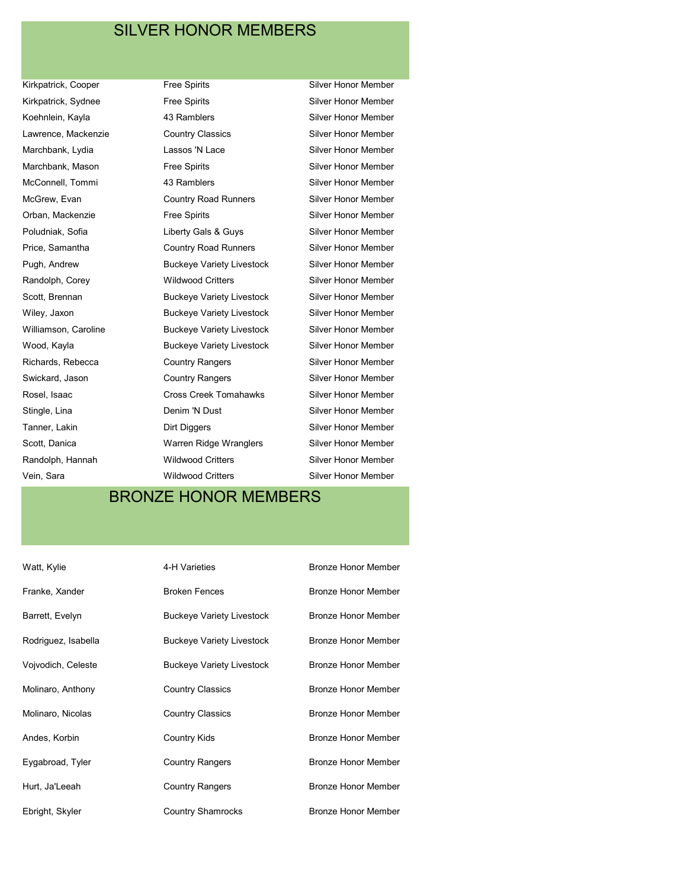## SILVER HONOR MEMBERS

Kirkpatrick, Cooper Free Spirits Free Spirits Silver Honor Member Kirkpatrick, Sydnee **Free Spirits** Free Spirits Silver Honor Member Koehnlein, Kayla **43 Ramblers Silver Honor Member** Lawrence, Mackenzie Country Classics Silver Honor Member Marchbank, Lydia Lassos 'N Lace Silver Honor Member Marchbank, Mason **Free Spirits** Free Spirits Silver Honor Member McConnell, Tommi **43 Ramblers** Silver Honor Member McGrew, Evan **Country Road Runners** Silver Honor Member Orban, Mackenzie **Free Spirits** Free Spirits Silver Honor Member Poludniak, Sofia **Network** Liberty Gals & Guys Silver Honor Member Price, Samantha **Country Road Runners** Silver Honor Member Pugh, Andrew **Buckeye Variety Livestock** Silver Honor Member Randolph, Corey **Wildwood Critters** Silver Honor Member Scott, Brennan **Buckeye Variety Livestock** Silver Honor Member Wiley, Jaxon **Buckeye Variety Livestock** Silver Honor Member Williamson, Caroline Buckeye Variety Livestock Silver Honor Member Wood, Kayla **Buckeye Variety Livestock** Silver Honor Member Richards, Rebecca **Country Rangers** Silver Honor Member Swickard, Jason **Country Rangers** Silver Honor Member Rosel, Isaac **Cross Creek Tomahawks** Silver Honor Member Stingle, Lina **Denim 'N Dust** Silver Honor Member Tanner, Lakin **Dirt Diggers Communist Communist Communist Communist Communist Communist Communist Communist Communist Communist Communist Communist Communist Communist Communist Communist Communist Communist Communist Co** Scott, Danica **National Markt Warren Ridge Wranglers** Silver Honor Member Randolph, Hannah **Wildwood Critters** Silver Honor Member Vein, Sara **Wildwood Critters** Silver Honor Member

# BRONZE HONOR MEMBERS

| Watt, Kylie         | 4-H Varieties                    | <b>Bronze Honor Member</b> |
|---------------------|----------------------------------|----------------------------|
| Franke, Xander      | <b>Broken Fences</b>             | <b>Bronze Honor Member</b> |
| Barrett, Evelyn     | <b>Buckeye Variety Livestock</b> | Bronze Honor Member        |
| Rodriguez, Isabella | <b>Buckeye Variety Livestock</b> | <b>Bronze Honor Member</b> |
| Vojvodich, Celeste  | <b>Buckeye Variety Livestock</b> | <b>Bronze Honor Member</b> |
| Molinaro, Anthony   | <b>Country Classics</b>          | <b>Bronze Honor Member</b> |
| Molinaro, Nicolas   | <b>Country Classics</b>          | <b>Bronze Honor Member</b> |
| Andes, Korbin       | <b>Country Kids</b>              | <b>Bronze Honor Member</b> |
| Eygabroad, Tyler    | <b>Country Rangers</b>           | <b>Bronze Honor Member</b> |
| Hurt, Ja'Leeah      | <b>Country Rangers</b>           | <b>Bronze Honor Member</b> |
| Ebright, Skyler     | <b>Country Shamrocks</b>         | <b>Bronze Honor Member</b> |